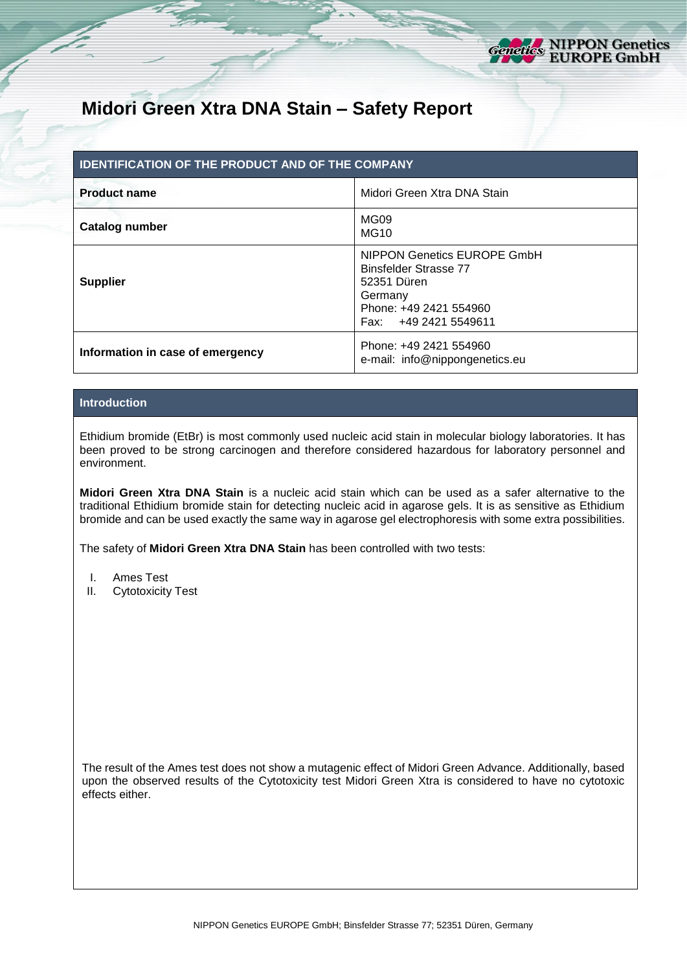

# **Midori Green Xtra DNA Stain – Safety Report**

| <b>IDENTIFICATION OF THE PRODUCT AND OF THE COMPANY</b> |                                                                                                                                          |  |  |  |  |
|---------------------------------------------------------|------------------------------------------------------------------------------------------------------------------------------------------|--|--|--|--|
| <b>Product name</b>                                     | Midori Green Xtra DNA Stain                                                                                                              |  |  |  |  |
| <b>Catalog number</b>                                   | MG <sub>09</sub><br><b>MG10</b>                                                                                                          |  |  |  |  |
| <b>Supplier</b>                                         | NIPPON Genetics EUROPE GmbH<br><b>Binsfelder Strasse 77</b><br>52351 Düren<br>Germany<br>Phone: +49 2421 554960<br>Fax: +49 2421 5549611 |  |  |  |  |
| Information in case of emergency                        | Phone: +49 2421 554960<br>e-mail: info@nippongenetics.eu                                                                                 |  |  |  |  |

# **Introduction**

Ethidium bromide (EtBr) is most commonly used nucleic acid stain in molecular biology laboratories. It has been proved to be strong carcinogen and therefore considered hazardous for laboratory personnel and environment.

**Midori Green Xtra DNA Stain** is a nucleic acid stain which can be used as a safer alternative to the traditional Ethidium bromide stain for detecting nucleic acid in agarose gels. It is as sensitive as Ethidium bromide and can be used exactly the same way in agarose gel electrophoresis with some extra possibilities.

The safety of **Midori Green Xtra DNA Stain** has been controlled with two tests:

- I. Ames Test
- II. Cytotoxicity Test

The result of the Ames test does not show a mutagenic effect of Midori Green Advance. Additionally, based upon the observed results of the Cytotoxicity test Midori Green Xtra is considered to have no cytotoxic effects either.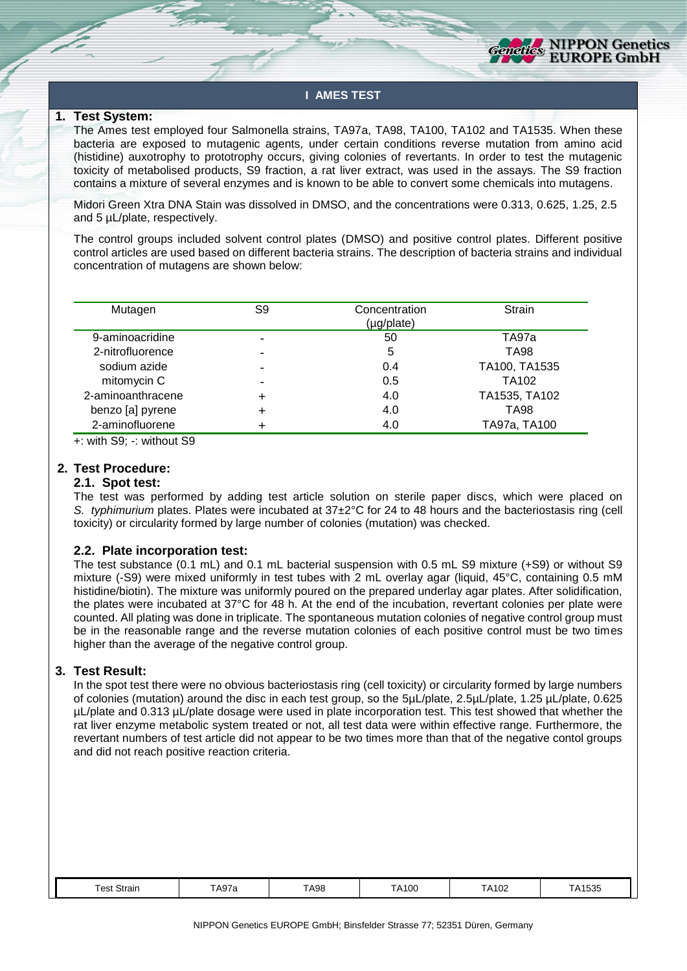

# **I AMES TEST**

#### **1. Test System:**

The Ames test employed four Salmonella strains, TA97a, TA98, TA100, TA102 and TA1535. When these bacteria are exposed to mutagenic agents, under certain conditions reverse mutation from amino acid (histidine) auxotrophy to prototrophy occurs, giving colonies of revertants. In order to test the mutagenic toxicity of metabolised products, S9 fraction, a rat liver extract, was used in the assays. The S9 fraction contains a mixture of several enzymes and is known to be able to convert some chemicals into mutagens.

Midori Green Xtra DNA Stain was dissolved in DMSO, and the concentrations were 0.313, 0.625, 1.25, 2.5 and 5 µL/plate, respectively.

The control groups included solvent control plates (DMSO) and positive control plates. Different positive control articles are used based on different bacteria strains. The description of bacteria strains and individual concentration of mutagens are shown below:

| Mutagen           | S9 | Concentration<br>(µg/plate) | Strain            |
|-------------------|----|-----------------------------|-------------------|
| 9-aminoacridine   |    | 50                          | TA97a             |
| 2-nitrofluorence  |    | 5                           | TA98              |
| sodium azide      |    | 0.4                         | TA100, TA1535     |
| mitomycin C       |    | 0.5                         | TA <sub>102</sub> |
| 2-aminoanthracene |    | 4.0                         | TA1535, TA102     |
| benzo [a] pyrene  |    | 4.0                         | TA98              |
| 2-aminofluorene   |    | 4.0                         | TA97a, TA100      |

+: with S9; -: without S9

#### **2. Test Procedure:**

#### **2.1. Spot test:**

The test was performed by adding test article solution on sterile paper discs, which were placed on *S. typhimurium* plates. Plates were incubated at 37±2°C for 24 to 48 hours and the bacteriostasis ring (cell toxicity) or circularity formed by large number of colonies (mutation) was checked.

#### **2.2. Plate incorporation test:**

The test substance (0.1 mL) and 0.1 mL bacterial suspension with 0.5 mL S9 mixture (+S9) or without S9 mixture (-S9) were mixed uniformly in test tubes with 2 mL overlay agar (liquid, 45°C, containing 0.5 mM histidine/biotin). The mixture was uniformly poured on the prepared underlay agar plates. After solidification, the plates were incubated at 37°C for 48 h. At the end of the incubation, revertant colonies per plate were counted. All plating was done in triplicate. The spontaneous mutation colonies of negative control group must be in the reasonable range and the reverse mutation colonies of each positive control must be two times higher than the average of the negative control group.

## **3. Test Result:**

In the spot test there were no obvious bacteriostasis ring (cell toxicity) or circularity formed by large numbers of colonies (mutation) around the disc in each test group, so the 5µL/plate, 2.5µL/plate, 1.25 µL/plate, 0.625 µL/plate and 0.313 µL/plate dosage were used in plate incorporation test. This test showed that whether the rat liver enzyme metabolic system treated or not, all test data were within effective range. Furthermore, the revertant numbers of test article did not appear to be two times more than that of the negative contol groups and did not reach positive reaction criteria.

| <b>TA98</b><br>$\overline{\phantom{a}}$<br>TA102<br>152F<br>$\lambda$ $\cap$ .<br>A100<br>Strain<br>i est<br>$^{\prime}$<br>TA978<br>៶៲៴៴៴<br>.<br>.<br>$\sim$ $\sim$ |
|-----------------------------------------------------------------------------------------------------------------------------------------------------------------------|
|-----------------------------------------------------------------------------------------------------------------------------------------------------------------------|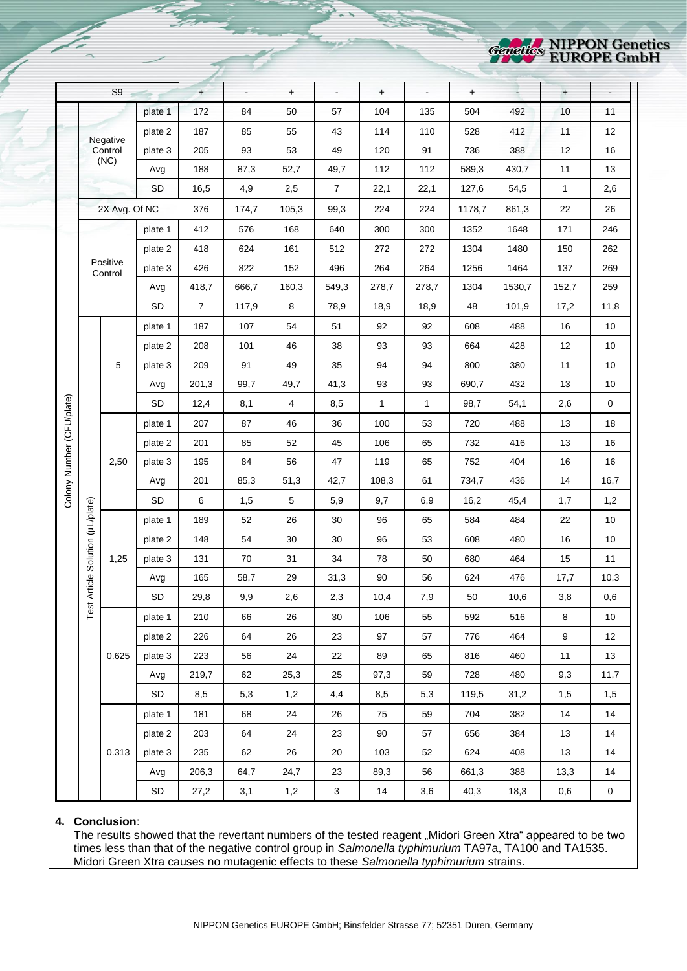

|                           |                                  | S9                  |           | $+$            | $\blacksquare$ | $\ddot{}$               | $\blacksquare$ | $+$          | $\overline{a}$ | $\ddagger$ |        | $+$          |           |
|---------------------------|----------------------------------|---------------------|-----------|----------------|----------------|-------------------------|----------------|--------------|----------------|------------|--------|--------------|-----------|
|                           |                                  |                     | plate 1   | 172            | 84             | 50                      | 57             | 104          | 135            | 504        | 492    | 10           | 11        |
|                           |                                  |                     | plate 2   | 187            | 85             | 55                      | 43             | 114          | 110            | 528        | 412    | 11           | 12        |
|                           |                                  | Negative<br>Control | plate 3   | 205            | 93             | 53                      | 49             | 120          | 91             | 736        | 388    | 12           | 16        |
|                           |                                  | (NC)                | Avg       | 188            | 87,3           | 52,7                    | 49,7           | 112          | 112            | 589,3      | 430,7  | 11           | 13        |
|                           |                                  |                     | SD        | 16,5           | 4,9            | 2,5                     | $\overline{7}$ | 22,1         | 22,1           | 127,6      | 54,5   | $\mathbf{1}$ | 2,6       |
|                           |                                  | 2X Avg. Of NC       |           | 376            | 174,7          | 105,3                   | 99,3           | 224          | 224            | 1178,7     | 861,3  | 22           | 26        |
|                           |                                  |                     | plate 1   | 412            | 576            | 168                     | 640            | 300          | 300            | 1352       | 1648   | 171          | 246       |
|                           |                                  |                     | plate 2   | 418            | 624            | 161                     | 512            | 272          | 272            | 1304       | 1480   | 150          | 262       |
|                           |                                  | Positive<br>Control | plate 3   | 426            | 822            | 152                     | 496            | 264          | 264            | 1256       | 1464   | 137          | 269       |
|                           |                                  |                     | Avg       | 418,7          | 666,7          | 160,3                   | 549,3          | 278,7        | 278,7          | 1304       | 1530,7 | 152,7        | 259       |
|                           |                                  |                     | <b>SD</b> | $\overline{7}$ | 117,9          | 8                       | 78,9           | 18,9         | 18,9           | 48         | 101,9  | 17,2         | 11,8      |
|                           |                                  |                     | plate 1   | 187            | 107            | 54                      | 51             | 92           | 92             | 608        | 488    | 16           | 10        |
|                           |                                  |                     | plate 2   | 208            | 101            | 46                      | 38             | 93           | 93             | 664        | 428    | 12           | 10        |
|                           |                                  | 5                   | plate 3   | 209            | 91             | 49                      | 35             | 94           | 94             | 800        | 380    | 11           | 10        |
|                           |                                  |                     | Avg       | 201,3          | 99,7           | 49,7                    | 41,3           | 93           | 93             | 690,7      | 432    | 13           | 10        |
| Colony Number (CFU/plate) |                                  |                     | <b>SD</b> | 12,4           | 8,1            | $\overline{\mathbf{4}}$ | 8,5            | $\mathbf{1}$ | 1              | 98,7       | 54,1   | 2,6          | $\pmb{0}$ |
|                           |                                  |                     | plate 1   | 207            | 87             | 46                      | 36             | 100          | 53             | 720        | 488    | 13           | 18        |
|                           |                                  |                     | plate 2   | 201            | 85             | 52                      | 45             | 106          | 65             | 732        | 416    | 13           | 16        |
|                           |                                  | 2,50                | plate 3   | 195            | 84             | 56                      | 47             | 119          | 65             | 752        | 404    | 16           | 16        |
|                           |                                  |                     | Avg       | 201            | 85,3           | 51,3                    | 42,7           | 108,3        | 61             | 734,7      | 436    | 14           | 16,7      |
|                           |                                  |                     | <b>SD</b> | $\,6\,$        | 1,5            | $\,$ 5 $\,$             | 5,9            | 9,7          | 6,9            | 16,2       | 45,4   | 1,7          | 1,2       |
|                           | Test Article Solution (µL/plate) |                     | plate 1   | 189            | 52             | 26                      | 30             | 96           | 65             | 584        | 484    | 22           | 10        |
|                           |                                  |                     | plate 2   | 148            | 54             | 30                      | 30             | 96           | 53             | 608        | 480    | 16           | 10        |
|                           |                                  | 1,25                | plate 3   | 131            | 70             | 31                      | 34             | 78           | 50             | 680        | 464    | 15           | 11        |
|                           |                                  |                     | Avg       | 165            | 58,7           | 29                      | 31,3           | 90           | 56             | 624        | 476    | 17,7         | 10,3      |
|                           |                                  |                     | SD        | 29,8           | $9,9$          | 2,6                     | 2,3            | 10,4         | $\bf 7,\!9$    | $50\,$     | 10,6   | $_{3,8}$     | 0,6       |
|                           | 0.625                            |                     | plate 1   | 210            | 66             | 26                      | 30             | 106          | 55             | 592        | 516    | 8            | 10        |
|                           |                                  |                     | plate 2   | 226            | 64             | 26                      | 23             | 97           | 57             | 776        | 464    | 9            | 12        |
|                           |                                  | plate 3             | 223       | 56             | 24             | 22                      | 89             | 65           | 816            | 460        | 11     | 13           |           |
|                           |                                  | Avg                 | 219,7     | 62             | 25,3           | 25                      | 97,3           | 59           | 728            | 480        | 9,3    | 11,7         |           |
|                           |                                  |                     | SD        | 8,5            | 5,3            | 1,2                     | 4,4            | 8,5          | 5,3            | 119,5      | 31,2   | 1,5          | 1,5       |
|                           |                                  |                     | plate 1   | 181            | 68             | 24                      | 26             | 75           | 59             | 704        | 382    | 14           | 14        |
|                           |                                  |                     | plate 2   | 203            | 64             | 24                      | 23             | 90           | 57             | 656        | 384    | 13           | 14        |
|                           |                                  | 0.313               | plate 3   | 235            | 62             | 26                      | 20             | 103          | 52             | 624        | 408    | 13           | 14        |
|                           |                                  |                     | Avg       | 206,3          | 64,7           | 24,7                    | 23             | 89,3         | 56             | 661,3      | 388    | 13,3         | 14        |
|                           |                                  | $\mathsf{SD}$       | 27,2      | 3,1            | 1,2            | $\mathbf{3}$            | 14             | 3,6          | 40,3           | 18,3       | 0,6    | $\mathbf 0$  |           |

#### **4. Conclusion**:

The results showed that the revertant numbers of the tested reagent "Midori Green Xtra" appeared to be two times less than that of the negative control group in *Salmonella typhimurium* TA97a, TA100 and TA1535. Midori Green Xtra causes no mutagenic effects to these *Salmonella typhimurium* strains.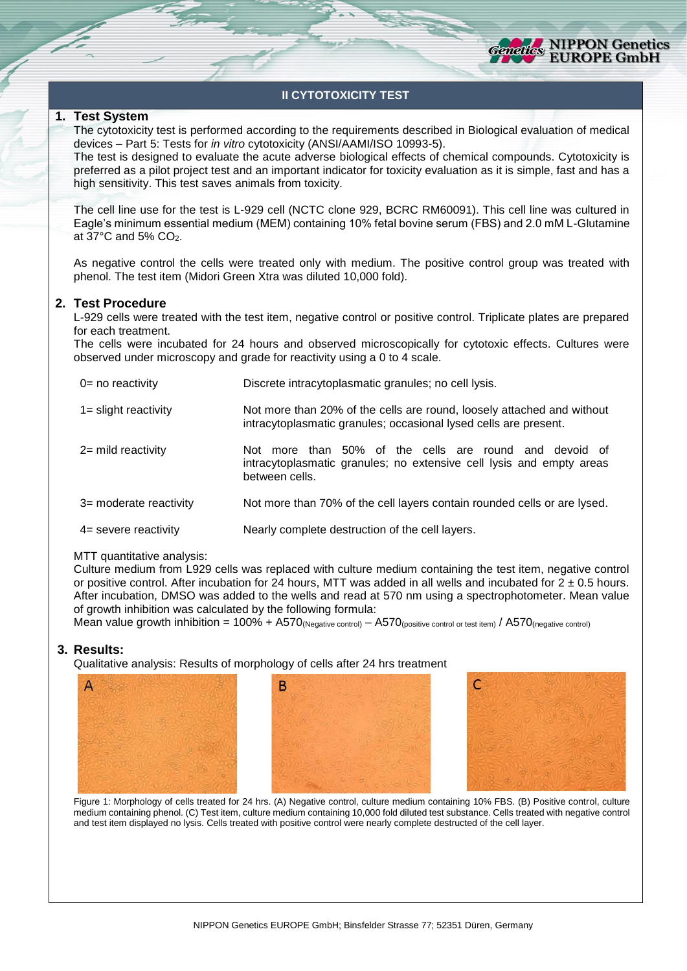

# **II CYTOTOXICITY TEST**

# **1. Test System**

The cytotoxicity test is performed according to the requirements described in Biological evaluation of medical devices – Part 5: Tests for *in vitro* cytotoxicity (ANSI/AAMI/ISO 10993-5).

The test is designed to evaluate the acute adverse biological effects of chemical compounds. Cytotoxicity is preferred as a pilot project test and an important indicator for toxicity evaluation as it is simple, fast and has a high sensitivity. This test saves animals from toxicity.

The cell line use for the test is L-929 cell (NCTC clone 929, BCRC RM60091). This cell line was cultured in Eagle's minimum essential medium (MEM) containing 10% fetal bovine serum (FBS) and 2.0 mM L-Glutamine at  $37^{\circ}$ C and  $5\%$  CO<sub>2</sub>.

As negative control the cells were treated only with medium. The positive control group was treated with phenol. The test item (Midori Green Xtra was diluted 10,000 fold).

#### **2. Test Procedure**

L-929 cells were treated with the test item, negative control or positive control. Triplicate plates are prepared for each treatment.

The cells were incubated for 24 hours and observed microscopically for cytotoxic effects. Cultures were observed under microscopy and grade for reactivity using a 0 to 4 scale.

| $0 = no$ reactivity     | Discrete intracytoplasmatic granules; no cell lysis.                                                                                             |
|-------------------------|--------------------------------------------------------------------------------------------------------------------------------------------------|
| $1 =$ slight reactivity | Not more than 20% of the cells are round, loosely attached and without<br>intracytoplasmatic granules; occasional lysed cells are present.       |
| $2=$ mild reactivity    | Not more than 50% of the cells are round and devoid of<br>intracytoplasmatic granules; no extensive cell lysis and empty areas<br>between cells. |
| 3= moderate reactivity  | Not more than 70% of the cell layers contain rounded cells or are lysed.                                                                         |
| $4=$ severe reactivity  | Nearly complete destruction of the cell layers.                                                                                                  |

#### MTT quantitative analysis:

Culture medium from L929 cells was replaced with culture medium containing the test item, negative control or positive control. After incubation for 24 hours, MTT was added in all wells and incubated for  $2 \pm 0.5$  hours. After incubation, DMSO was added to the wells and read at 570 nm using a spectrophotometer. Mean value of growth inhibition was calculated by the following formula:

Mean value growth inhibition =  $100\% + A570$  (Negative control) –  $A570$  (positive control or test item) /  $A570$  (negative control)

#### **3. Results:**

Qualitative analysis: Results of morphology of cells after 24 hrs treatment





Figure 1: Morphology of cells treated for 24 hrs. (A) Negative control, culture medium containing 10% FBS. (B) Positive control, culture medium containing phenol. (C) Test item, culture medium containing 10,000 fold diluted test substance. Cells treated with negative control and test item displayed no lysis. Cells treated with positive control were nearly complete destructed of the cell layer.